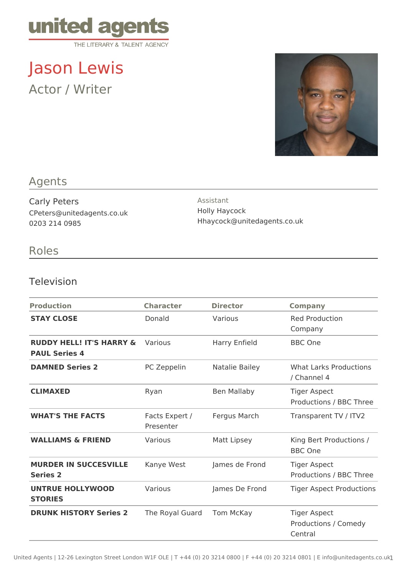

Jason Lewis Actor / Writer



### Agents

Carly Peters CPeters@unitedagents.co.uk 0203 214 0985

Assistant Holly Haycock Hhaycock@unitedagents.co.uk

## Roles

#### Television

| <b>Production</b>                                           | <b>Character</b>            | <b>Director</b> | <b>Company</b>                                         |
|-------------------------------------------------------------|-----------------------------|-----------------|--------------------------------------------------------|
| <b>STAY CLOSE</b>                                           | Donald                      | Various         | <b>Red Production</b><br>Company                       |
| <b>RUDDY HELL! IT'S HARRY &amp;</b><br><b>PAUL Series 4</b> | Various                     | Harry Enfield   | <b>BBC</b> One                                         |
| <b>DAMNED Series 2</b>                                      | PC Zeppelin                 | Natalie Bailey  | <b>What Larks Productions</b><br>/ Channel 4           |
| <b>CLIMAXED</b>                                             | Ryan                        | Ben Mallaby     | <b>Tiger Aspect</b><br>Productions / BBC Three         |
| <b>WHAT'S THE FACTS</b>                                     | Facts Expert /<br>Presenter | Fergus March    | Transparent TV / ITV2                                  |
| <b>WALLIAMS &amp; FRIEND</b>                                | Various                     | Matt Lipsey     | King Bert Productions /<br><b>BBC</b> One              |
| <b>MURDER IN SUCCESVILLE</b><br><b>Series 2</b>             | Kanye West                  | James de Frond  | <b>Tiger Aspect</b><br>Productions / BBC Three         |
| <b>UNTRUE HOLLYWOOD</b><br><b>STORIES</b>                   | Various                     | James De Frond  | <b>Tiger Aspect Productions</b>                        |
| <b>DRUNK HISTORY Series 2</b>                               | The Royal Guard             | Tom McKay       | <b>Tiger Aspect</b><br>Productions / Comedy<br>Central |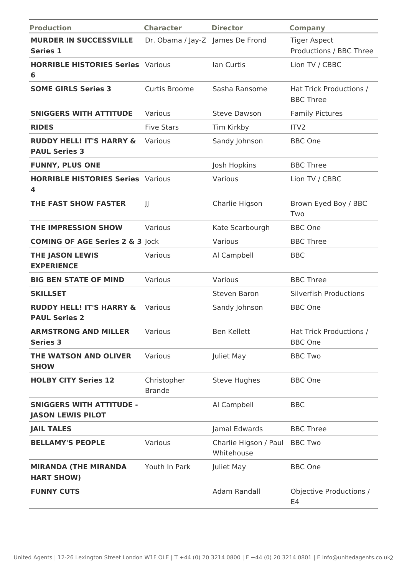| <b>Production</b>                                           | <b>Character</b>                 | <b>Director</b>                     | <b>Company</b>                                 |
|-------------------------------------------------------------|----------------------------------|-------------------------------------|------------------------------------------------|
| <b>MURDER IN SUCCESSVILLE</b><br><b>Series 1</b>            | Dr. Obama / Jay-Z James De Frond |                                     | <b>Tiger Aspect</b><br>Productions / BBC Three |
| <b>HORRIBLE HISTORIES Series Various</b><br>6               |                                  | Ian Curtis                          | Lion TV / CBBC                                 |
| <b>SOME GIRLS Series 3</b>                                  | Curtis Broome                    | Sasha Ransome                       | Hat Trick Productions /<br><b>BBC Three</b>    |
| <b>SNIGGERS WITH ATTITUDE</b>                               | Various                          | <b>Steve Dawson</b>                 | <b>Family Pictures</b>                         |
| <b>RIDES</b>                                                | <b>Five Stars</b>                | Tim Kirkby                          | ITV <sub>2</sub>                               |
| <b>RUDDY HELL! IT'S HARRY &amp;</b><br><b>PAUL Series 3</b> | Various                          | Sandy Johnson                       | <b>BBC</b> One                                 |
| <b>FUNNY, PLUS ONE</b>                                      |                                  | Josh Hopkins                        | <b>BBC Three</b>                               |
| <b>HORRIBLE HISTORIES Series Various</b><br>4               |                                  | Various                             | Lion TV / CBBC                                 |
| <b>THE FAST SHOW FASTER</b>                                 | JJ                               | Charlie Higson                      | Brown Eyed Boy / BBC<br>Two                    |
| <b>THE IMPRESSION SHOW</b>                                  | Various                          | Kate Scarbourgh                     | <b>BBC</b> One                                 |
| <b>COMING OF AGE Series 2 &amp; 3 Jock</b>                  |                                  | Various                             | <b>BBC Three</b>                               |
| <b>THE JASON LEWIS</b><br><b>EXPERIENCE</b>                 | Various                          | Al Campbell                         | <b>BBC</b>                                     |
| <b>BIG BEN STATE OF MIND</b>                                | Various                          | Various                             | <b>BBC Three</b>                               |
| <b>SKILLSET</b>                                             |                                  | Steven Baron                        | <b>Silverfish Productions</b>                  |
| <b>RUDDY HELL! IT'S HARRY &amp;</b><br><b>PAUL Series 2</b> | Various                          | Sandy Johnson                       | <b>BBC</b> One                                 |
| <b>ARMSTRONG AND MILLER</b><br><b>Series 3</b>              | Various                          | <b>Ben Kellett</b>                  | Hat Trick Productions /<br><b>BBC</b> One      |
| THE WATSON AND OLIVER<br><b>SHOW</b>                        | Various                          | Juliet May                          | <b>BBC Two</b>                                 |
| <b>HOLBY CITY Series 12</b>                                 | Christopher<br><b>Brande</b>     | <b>Steve Hughes</b>                 | <b>BBC</b> One                                 |
| <b>SNIGGERS WITH ATTITUDE -</b><br><b>JASON LEWIS PILOT</b> |                                  | Al Campbell                         | <b>BBC</b>                                     |
| <b>JAIL TALES</b>                                           |                                  | Jamal Edwards                       | <b>BBC Three</b>                               |
| <b>BELLAMY'S PEOPLE</b>                                     | Various                          | Charlie Higson / Paul<br>Whitehouse | <b>BBC Two</b>                                 |
| <b>MIRANDA (THE MIRANDA</b><br><b>HART SHOW)</b>            | Youth In Park                    | Juliet May                          | <b>BBC</b> One                                 |
| <b>FUNNY CUTS</b>                                           |                                  | Adam Randall                        | Objective Productions /<br>E4                  |